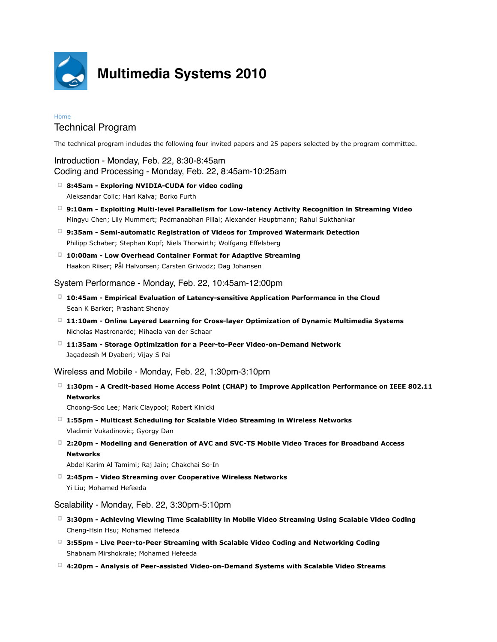

# **Multimedia Systems 2010**

#### Home

## Technical Program

The technical program includes the following four invited papers and 25 papers selected by the program committee.

Introduction - Monday, Feb. 22, 8:30-8:45am Coding and Processing - Monday, Feb. 22, 8:45am-10:25am

- **8:45am Exploring NVIDIA-CUDA for video coding** Aleksandar Colic; Hari Kalva; Borko Furth
- **9:10am Exploiting Multi-level Parallelism for Low-latency Activity Recognition in Streaming Video** Mingyu Chen; Lily Mummert; Padmanabhan Pillai; Alexander Hauptmann; Rahul Sukthankar
- **9:35am Semi-automatic Registration of Videos for Improved Watermark Detection** Philipp Schaber; Stephan Kopf; Niels Thorwirth; Wolfgang Effelsberg
- **10:00am Low Overhead Container Format for Adaptive Streaming** Haakon Riiser; Pål Halvorsen; Carsten Griwodz; Dag Johansen

### System Performance - Monday, Feb. 22, 10:45am-12:00pm

- **10:45am Empirical Evaluation of Latency-sensitive Application Performance in the Cloud** Sean K Barker; Prashant Shenoy
- **11:10am Online Layered Learning for Cross-layer Optimization of Dynamic Multimedia Systems** Nicholas Mastronarde; Mihaela van der Schaar
- **11:35am Storage Optimization for a Peer-to-Peer Video-on-Demand Network** Jagadeesh M Dyaberi; Vijay S Pai

Wireless and Mobile - Monday, Feb. 22, 1:30pm-3:10pm

**1:30pm - A Credit-based Home Access Point (CHAP) to Improve Application Performance on IEEE 802.11 Networks**

Choong-Soo Lee; Mark Claypool; Robert Kinicki

- **1:55pm Multicast Scheduling for Scalable Video Streaming in Wireless Networks** Vladimir Vukadinovic; Gyorgy Dan
- **2:20pm Modeling and Generation of AVC and SVC-TS Mobile Video Traces for Broadband Access Networks**

Abdel Karim Al Tamimi; Raj Jain; Chakchai So-In

**2:45pm - Video Streaming over Cooperative Wireless Networks** Yi Liu; Mohamed Hefeeda

#### Scalability - Monday, Feb. 22, 3:30pm-5:10pm

- **3:30pm Achieving Viewing Time Scalability in Mobile Video Streaming Using Scalable Video Coding** Cheng-Hsin Hsu; Mohamed Hefeeda
- **3:55pm Live Peer-to-Peer Streaming with Scalable Video Coding and Networking Coding** Shabnam Mirshokraie; Mohamed Hefeeda
- **4:20pm Analysis of Peer-assisted Video-on-Demand Systems with Scalable Video Streams**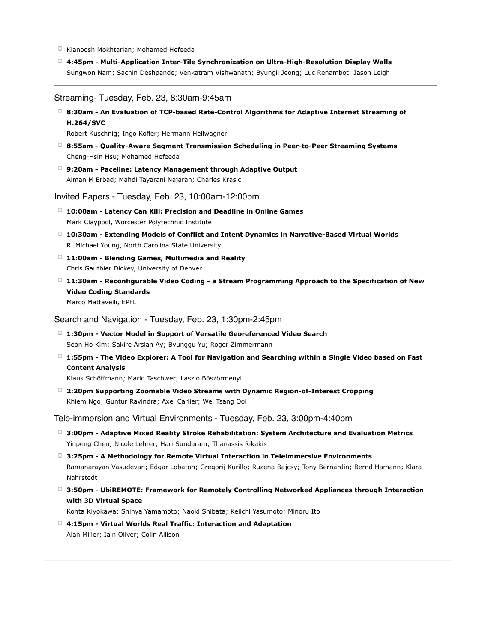- Kianoosh Mokhtarian; Mohamed Hefeeda
- **4:45pm Multi-Application Inter-Tile Synchronization on Ultra-High-Resolution Display Walls** Sungwon Nam; Sachin Deshpande; Venkatram Vishwanath; Byungil Jeong; Luc Renambot; Jason Leigh

#### Streaming- Tuesday, Feb. 23, 8:30am-9:45am

**8:30am - An Evaluation of TCP-based Rate-Control Algorithms for Adaptive Internet Streaming of H.264/SVC**

Robert Kuschnig; Ingo Kofler; Hermann Hellwagner

- **8:55am Quality-Aware Segment Transmission Scheduling in Peer-to-Peer Streaming Systems** Cheng-Hsin Hsu; Mohamed Hefeeda
- **9:20am Paceline: Latency Management through Adaptive Output** Aiman M Erbad; Mahdi Tayarani Najaran; Charles Krasic

Invited Papers - Tuesday, Feb. 23, 10:00am-12:00pm

- **10:00am Latency Can Kill: Precision and Deadline in Online Games** Mark Claypool, Worcester Polytechnic Institute
- **10:30am Extending Models of Conflict and Intent Dynamics in Narrative-Based Virtual Worlds** R. Michael Young, North Carolina State University
- **11:00am Blending Games, Multimedia and Reality** Chris Gauthier Dickey, University of Denver
- **11:30am Reconfigurable Video Coding a Stream Programming Approach to the Specification of New Video Coding Standards** Marco Mattavelli, EPFL

Search and Navigation - Tuesday, Feb. 23, 1:30pm-2:45pm

- **1:30pm Vector Model in Support of Versatile Georeferenced Video Search** Seon Ho Kim; Sakire Arslan Ay; Byunggu Yu; Roger Zimmermann
- **1:55pm The Video Explorer: A Tool for Navigation and Searching within a Single Video based on Fast Content Analysis**

Klaus Schöffmann; Mario Taschwer; Laszlo Böszörmenyi

**2:20pm Supporting Zoomable Video Streams with Dynamic Region-of-Interest Cropping** Khiem Ngo; Guntur Ravindra; Axel Carlier; Wei Tsang Ooi

Tele-immersion and Virtual Environments - Tuesday, Feb. 23, 3:00pm-4:40pm

- **3:00pm Adaptive Mixed Reality Stroke Rehabilitation: System Architecture and Evaluation Metrics** Yinpeng Chen; Nicole Lehrer; Hari Sundaram; Thanassis Rikakis
- **3:25pm A Methodology for Remote Virtual Interaction in Teleimmersive Environments** Ramanarayan Vasudevan; Edgar Lobaton; Gregorij Kurillo; Ruzena Bajcsy; Tony Bernardin; Bernd Hamann; Klara Nahrstedt
- **3:50pm UbiREMOTE: Framework for Remotely Controlling Networked Appliances through Interaction with 3D Virtual Space**

Kohta Kiyokawa; Shinya Yamamoto; Naoki Shibata; Keiichi Yasumoto; Minoru Ito

**4:15pm - Virtual Worlds Real Traffic: Interaction and Adaptation** Alan Miller; Iain Oliver; Colin Allison